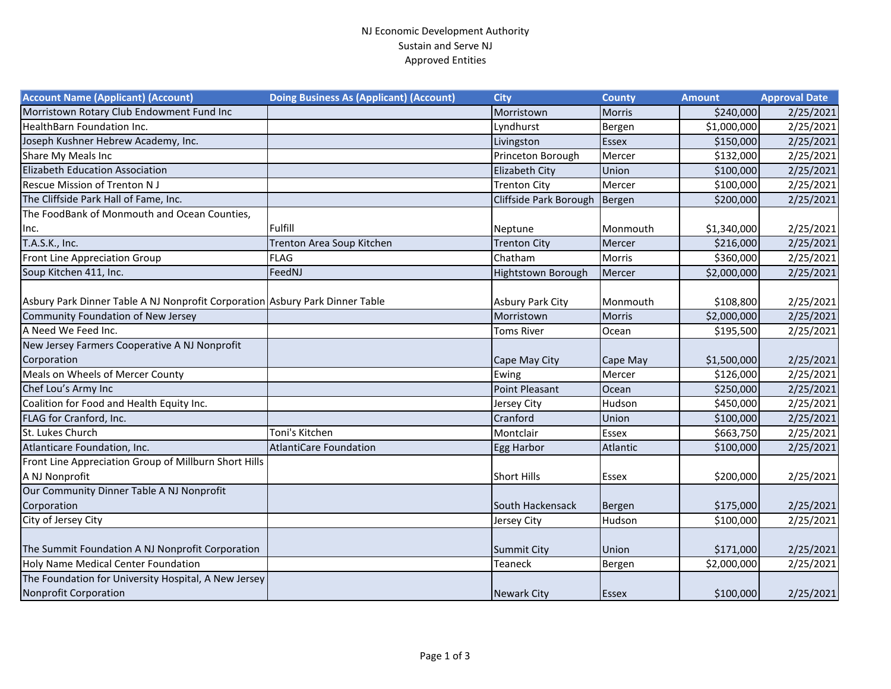## NJ Economic Development Authority Sustain and Serve NJ Approved Entities

| <b>Account Name (Applicant) (Account)</b>                                     | <b>Doing Business As (Applicant) (Account)</b> | <b>City</b>            | <b>County</b> | <b>Amount</b> | <b>Approval Date</b> |
|-------------------------------------------------------------------------------|------------------------------------------------|------------------------|---------------|---------------|----------------------|
| Morristown Rotary Club Endowment Fund Inc                                     |                                                | Morristown             | <b>Morris</b> | \$240,000     | 2/25/2021            |
| <b>HealthBarn Foundation Inc.</b>                                             |                                                | Lyndhurst              | Bergen        | \$1,000,000   | 2/25/2021            |
| Joseph Kushner Hebrew Academy, Inc.                                           |                                                | Livingston             | <b>Essex</b>  | \$150,000     | 2/25/2021            |
| Share My Meals Inc                                                            |                                                | Princeton Borough      | Mercer        | \$132,000     | 2/25/2021            |
| Elizabeth Education Association                                               |                                                | <b>Elizabeth City</b>  | Union         | \$100,000     | 2/25/2021            |
| <b>Rescue Mission of Trenton NJ</b>                                           |                                                | <b>Trenton City</b>    | Mercer        | \$100,000     | 2/25/2021            |
| The Cliffside Park Hall of Fame, Inc.                                         |                                                | Cliffside Park Borough | Bergen        | \$200,000     | 2/25/2021            |
| The FoodBank of Monmouth and Ocean Counties,                                  |                                                |                        |               |               |                      |
| Inc.                                                                          | Fulfill                                        | Neptune                | Monmouth      | \$1,340,000   | 2/25/2021            |
| T.A.S.K., Inc.                                                                | Trenton Area Soup Kitchen                      | <b>Trenton City</b>    | Mercer        | \$216,000     | 2/25/2021            |
| <b>Front Line Appreciation Group</b>                                          | <b>FLAG</b>                                    | Chatham                | <b>Morris</b> | \$360,000     | 2/25/2021            |
| Soup Kitchen 411, Inc.                                                        | FeedNJ                                         | Hightstown Borough     | Mercer        | \$2,000,000   | 2/25/2021            |
| Asbury Park Dinner Table A NJ Nonprofit Corporation Asbury Park Dinner Table  |                                                | Asbury Park City       | Monmouth      | \$108,800     | 2/25/2021            |
| Community Foundation of New Jersey                                            |                                                | Morristown             | <b>Morris</b> | \$2,000,000   | 2/25/2021            |
| A Need We Feed Inc.                                                           |                                                | <b>Toms River</b>      | Ocean         | \$195,500     | 2/25/2021            |
| New Jersey Farmers Cooperative A NJ Nonprofit                                 |                                                |                        |               |               |                      |
| Corporation                                                                   |                                                | Cape May City          | Cape May      | \$1,500,000   | 2/25/2021            |
| Meals on Wheels of Mercer County                                              |                                                | Ewing                  | Mercer        | \$126,000     | 2/25/2021            |
| Chef Lou's Army Inc                                                           |                                                | <b>Point Pleasant</b>  | Ocean         | \$250,000     | 2/25/2021            |
| Coalition for Food and Health Equity Inc.                                     |                                                | Jersey City            | Hudson        | \$450,000     | 2/25/2021            |
| FLAG for Cranford, Inc.                                                       |                                                | Cranford               | Union         | \$100,000     | 2/25/2021            |
| St. Lukes Church                                                              | Toni's Kitchen                                 | Montclair              | <b>Essex</b>  | \$663,750     | 2/25/2021            |
| Atlanticare Foundation, Inc.                                                  | <b>AtlantiCare Foundation</b>                  | Egg Harbor             | Atlantic      | \$100,000     | 2/25/2021            |
| Front Line Appreciation Group of Millburn Short Hills                         |                                                |                        |               |               |                      |
| A NJ Nonprofit                                                                |                                                | <b>Short Hills</b>     | <b>Essex</b>  | \$200,000     | 2/25/2021            |
| Our Community Dinner Table A NJ Nonprofit                                     |                                                |                        |               |               |                      |
| Corporation                                                                   |                                                | South Hackensack       | Bergen        | \$175,000     | 2/25/2021            |
| City of Jersey City                                                           |                                                | Jersey City            | Hudson        | \$100,000     | 2/25/2021            |
| The Summit Foundation A NJ Nonprofit Corporation                              |                                                | <b>Summit City</b>     | Union         | \$171,000     | 2/25/2021            |
| Holy Name Medical Center Foundation                                           |                                                | <b>Teaneck</b>         | Bergen        | \$2,000,000   | 2/25/2021            |
| The Foundation for University Hospital, A New Jersey<br>Nonprofit Corporation |                                                | <b>Newark City</b>     | Essex         | \$100,000     | 2/25/2021            |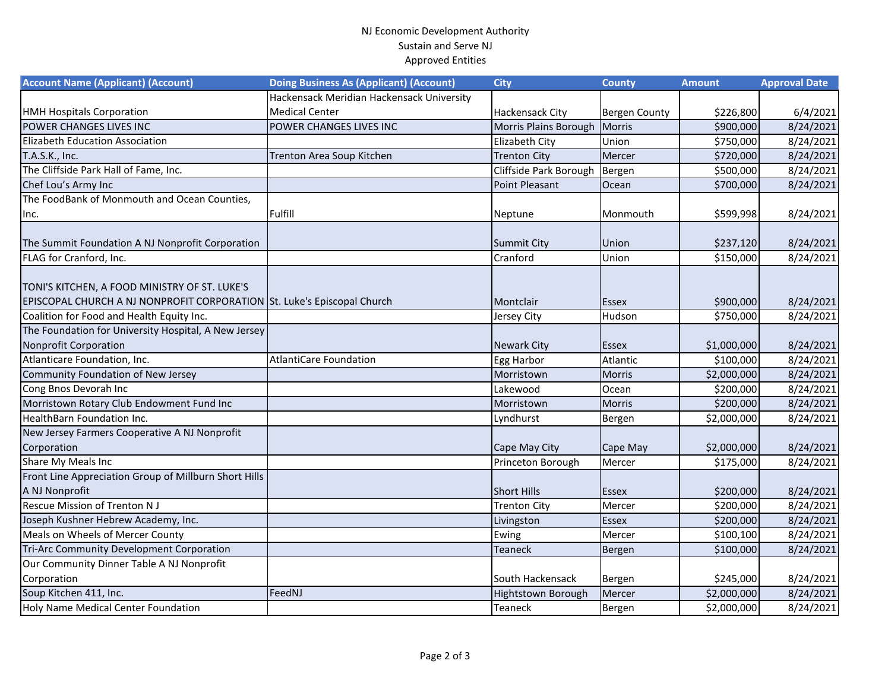## NJ Economic Development Authority Sustain and Serve NJ Approved Entities

| <b>Account Name (Applicant) (Account)</b>                               | <b>Doing Business As (Applicant) (Account)</b> | <b>City</b>            | <b>County</b>        | <b>Amount</b> | <b>Approval Date</b> |
|-------------------------------------------------------------------------|------------------------------------------------|------------------------|----------------------|---------------|----------------------|
|                                                                         | Hackensack Meridian Hackensack University      |                        |                      |               |                      |
| <b>HMH Hospitals Corporation</b>                                        | <b>Medical Center</b>                          | <b>Hackensack City</b> | <b>Bergen County</b> | \$226,800     | 6/4/2021             |
| POWER CHANGES LIVES INC                                                 | POWER CHANGES LIVES INC                        | Morris Plains Borough  | Morris               | \$900,000     | 8/24/2021            |
| Elizabeth Education Association                                         |                                                | <b>Elizabeth City</b>  | Union                | \$750,000     | 8/24/2021            |
| T.A.S.K., Inc.                                                          | Trenton Area Soup Kitchen                      | <b>Trenton City</b>    | Mercer               | \$720,000     | 8/24/2021            |
| The Cliffside Park Hall of Fame, Inc.                                   |                                                | Cliffside Park Borough | Bergen               | \$500,000     | 8/24/2021            |
| Chef Lou's Army Inc                                                     |                                                | <b>Point Pleasant</b>  | Ocean                | \$700,000     | 8/24/2021            |
| The FoodBank of Monmouth and Ocean Counties,                            |                                                |                        |                      |               |                      |
| Inc.                                                                    | Fulfill                                        | Neptune                | Monmouth             | \$599,998     | 8/24/2021            |
|                                                                         |                                                |                        |                      |               |                      |
| The Summit Foundation A NJ Nonprofit Corporation                        |                                                | <b>Summit City</b>     | Union                | \$237,120     | 8/24/2021            |
| FLAG for Cranford, Inc.                                                 |                                                | Cranford               | Union                | \$150,000     | 8/24/2021            |
|                                                                         |                                                |                        |                      |               |                      |
| TONI'S KITCHEN, A FOOD MINISTRY OF ST. LUKE'S                           |                                                |                        |                      |               |                      |
| EPISCOPAL CHURCH A NJ NONPROFIT CORPORATION St. Luke's Episcopal Church |                                                | Montclair              | <b>Essex</b>         | \$900,000     | 8/24/2021            |
| Coalition for Food and Health Equity Inc.                               |                                                | Jersey City            | Hudson               | \$750,000     | 8/24/2021            |
| The Foundation for University Hospital, A New Jersey                    |                                                |                        |                      |               |                      |
| <b>Nonprofit Corporation</b>                                            |                                                | <b>Newark City</b>     | <b>Essex</b>         | \$1,000,000   | 8/24/2021            |
| Atlanticare Foundation, Inc.                                            | <b>AtlantiCare Foundation</b>                  | Egg Harbor             | Atlantic             | \$100,000     | 8/24/2021            |
| Community Foundation of New Jersey                                      |                                                | Morristown             | <b>Morris</b>        | \$2,000,000   | 8/24/2021            |
| Cong Bnos Devorah Inc                                                   |                                                | Lakewood               | Ocean                | \$200,000     | 8/24/2021            |
| Morristown Rotary Club Endowment Fund Inc                               |                                                | Morristown             | <b>Morris</b>        | \$200,000     | 8/24/2021            |
| HealthBarn Foundation Inc.                                              |                                                | Lyndhurst              | Bergen               | \$2,000,000   | 8/24/2021            |
| New Jersey Farmers Cooperative A NJ Nonprofit                           |                                                |                        |                      |               |                      |
| Corporation                                                             |                                                | Cape May City          | Cape May             | \$2,000,000   | 8/24/2021            |
| Share My Meals Inc                                                      |                                                | Princeton Borough      | Mercer               | \$175,000     | 8/24/2021            |
| Front Line Appreciation Group of Millburn Short Hills                   |                                                |                        |                      |               |                      |
| A NJ Nonprofit                                                          |                                                | <b>Short Hills</b>     | <b>Essex</b>         | \$200,000     | 8/24/2021            |
| <b>Rescue Mission of Trenton NJ</b>                                     |                                                | <b>Trenton City</b>    | Mercer               | \$200,000     | 8/24/2021            |
| Joseph Kushner Hebrew Academy, Inc.                                     |                                                | Livingston             | <b>Essex</b>         | \$200,000     | 8/24/2021            |
| Meals on Wheels of Mercer County                                        |                                                | Ewing                  | Mercer               | \$100,100     | 8/24/2021            |
| Tri-Arc Community Development Corporation                               |                                                | <b>Teaneck</b>         | Bergen               | \$100,000     | 8/24/2021            |
| Our Community Dinner Table A NJ Nonprofit                               |                                                |                        |                      |               |                      |
| Corporation                                                             |                                                | South Hackensack       | Bergen               | \$245,000     | 8/24/2021            |
| Soup Kitchen 411, Inc.                                                  | FeedNJ                                         | Hightstown Borough     | Mercer               | \$2,000,000   | 8/24/2021            |
| Holy Name Medical Center Foundation                                     |                                                | <b>Teaneck</b>         | Bergen               | \$2,000,000   | 8/24/2021            |